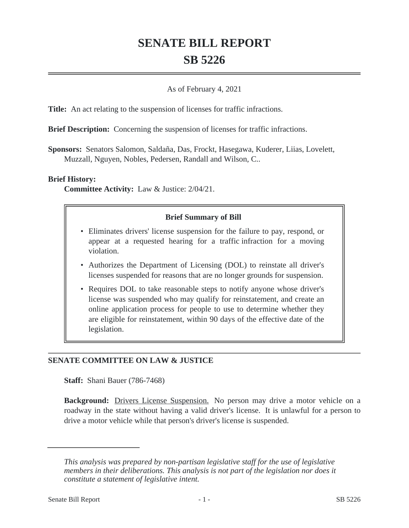# **SENATE BILL REPORT SB 5226**

### As of February 4, 2021

**Title:** An act relating to the suspension of licenses for traffic infractions.

**Brief Description:** Concerning the suspension of licenses for traffic infractions.

**Sponsors:** Senators Salomon, Saldaña, Das, Frockt, Hasegawa, Kuderer, Liias, Lovelett, Muzzall, Nguyen, Nobles, Pedersen, Randall and Wilson, C..

#### **Brief History:**

**Committee Activity:** Law & Justice: 2/04/21.

#### **Brief Summary of Bill**

- Eliminates drivers' license suspension for the failure to pay, respond, or appear at a requested hearing for a traffic infraction for a moving violation.
- Authorizes the Department of Licensing (DOL) to reinstate all driver's licenses suspended for reasons that are no longer grounds for suspension.
- Requires DOL to take reasonable steps to notify anyone whose driver's license was suspended who may qualify for reinstatement, and create an online application process for people to use to determine whether they are eligible for reinstatement, within 90 days of the effective date of the legislation.

## **SENATE COMMITTEE ON LAW & JUSTICE**

**Staff:** Shani Bauer (786-7468)

Background: Drivers License Suspension. No person may drive a motor vehicle on a roadway in the state without having a valid driver's license. It is unlawful for a person to drive a motor vehicle while that person's driver's license is suspended.

*This analysis was prepared by non-partisan legislative staff for the use of legislative members in their deliberations. This analysis is not part of the legislation nor does it constitute a statement of legislative intent.*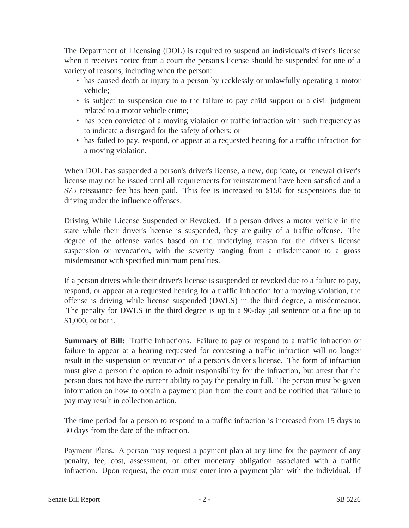The Department of Licensing (DOL) is required to suspend an individual's driver's license when it receives notice from a court the person's license should be suspended for one of a variety of reasons, including when the person:

- has caused death or injury to a person by recklessly or unlawfully operating a motor vehicle;
- is subject to suspension due to the failure to pay child support or a civil judgment related to a motor vehicle crime;
- has been convicted of a moving violation or traffic infraction with such frequency as to indicate a disregard for the safety of others; or
- has failed to pay, respond, or appear at a requested hearing for a traffic infraction for a moving violation.

When DOL has suspended a person's driver's license, a new, duplicate, or renewal driver's license may not be issued until all requirements for reinstatement have been satisfied and a \$75 reissuance fee has been paid. This fee is increased to \$150 for suspensions due to driving under the influence offenses.

Driving While License Suspended or Revoked. If a person drives a motor vehicle in the state while their driver's license is suspended, they are guilty of a traffic offense. The degree of the offense varies based on the underlying reason for the driver's license suspension or revocation, with the severity ranging from a misdemeanor to a gross misdemeanor with specified minimum penalties.

If a person drives while their driver's license is suspended or revoked due to a failure to pay, respond, or appear at a requested hearing for a traffic infraction for a moving violation, the offense is driving while license suspended (DWLS) in the third degree, a misdemeanor. The penalty for DWLS in the third degree is up to a 90-day jail sentence or a fine up to \$1,000, or both.

**Summary of Bill:** Traffic Infractions. Failure to pay or respond to a traffic infraction or failure to appear at a hearing requested for contesting a traffic infraction will no longer result in the suspension or revocation of a person's driver's license. The form of infraction must give a person the option to admit responsibility for the infraction, but attest that the person does not have the current ability to pay the penalty in full. The person must be given information on how to obtain a payment plan from the court and be notified that failure to pay may result in collection action.

The time period for a person to respond to a traffic infraction is increased from 15 days to 30 days from the date of the infraction.

Payment Plans. A person may request a payment plan at any time for the payment of any penalty, fee, cost, assessment, or other monetary obligation associated with a traffic infraction. Upon request, the court must enter into a payment plan with the individual. If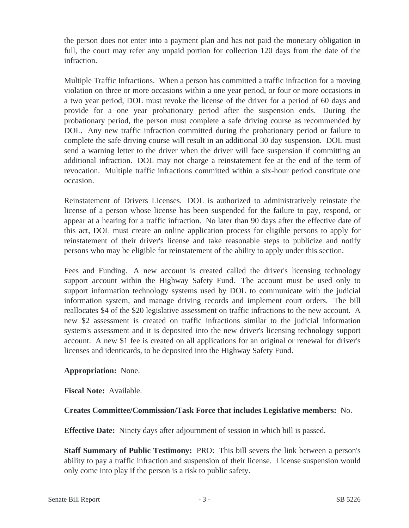the person does not enter into a payment plan and has not paid the monetary obligation in full, the court may refer any unpaid portion for collection 120 days from the date of the infraction.

Multiple Traffic Infractions. When a person has committed a traffic infraction for a moving violation on three or more occasions within a one year period, or four or more occasions in a two year period, DOL must revoke the license of the driver for a period of 60 days and provide for a one year probationary period after the suspension ends. During the probationary period, the person must complete a safe driving course as recommended by DOL. Any new traffic infraction committed during the probationary period or failure to complete the safe driving course will result in an additional 30 day suspension. DOL must send a warning letter to the driver when the driver will face suspension if committing an additional infraction. DOL may not charge a reinstatement fee at the end of the term of revocation. Multiple traffic infractions committed within a six-hour period constitute one occasion.

Reinstatement of Drivers Licenses. DOL is authorized to administratively reinstate the license of a person whose license has been suspended for the failure to pay, respond, or appear at a hearing for a traffic infraction. No later than 90 days after the effective date of this act, DOL must create an online application process for eligible persons to apply for reinstatement of their driver's license and take reasonable steps to publicize and notify persons who may be eligible for reinstatement of the ability to apply under this section.

Fees and Funding. A new account is created called the driver's licensing technology support account within the Highway Safety Fund. The account must be used only to support information technology systems used by DOL to communicate with the judicial information system, and manage driving records and implement court orders. The bill reallocates \$4 of the \$20 legislative assessment on traffic infractions to the new account. A new \$2 assessment is created on traffic infractions similar to the judicial information system's assessment and it is deposited into the new driver's licensing technology support account. A new \$1 fee is created on all applications for an original or renewal for driver's licenses and identicards, to be deposited into the Highway Safety Fund.

## **Appropriation:** None.

**Fiscal Note:** Available.

## **Creates Committee/Commission/Task Force that includes Legislative members:** No.

**Effective Date:** Ninety days after adjournment of session in which bill is passed.

**Staff Summary of Public Testimony:** PRO: This bill severs the link between a person's ability to pay a traffic infraction and suspension of their license. License suspension would only come into play if the person is a risk to public safety.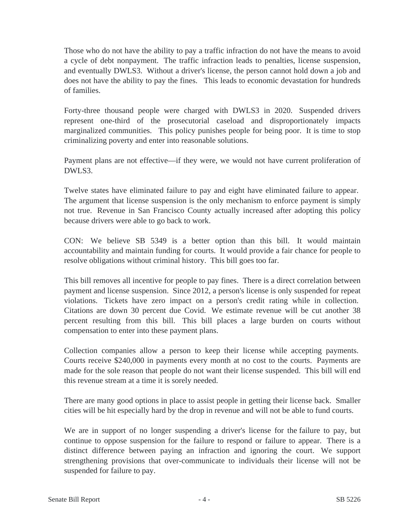Those who do not have the ability to pay a traffic infraction do not have the means to avoid a cycle of debt nonpayment. The traffic infraction leads to penalties, license suspension, and eventually DWLS3. Without a driver's license, the person cannot hold down a job and does not have the ability to pay the fines. This leads to economic devastation for hundreds of families.

Forty-three thousand people were charged with DWLS3 in 2020. Suspended drivers represent one-third of the prosecutorial caseload and disproportionately impacts marginalized communities. This policy punishes people for being poor. It is time to stop criminalizing poverty and enter into reasonable solutions.

Payment plans are not effective—if they were, we would not have current proliferation of DWLS3.

Twelve states have eliminated failure to pay and eight have eliminated failure to appear. The argument that license suspension is the only mechanism to enforce payment is simply not true. Revenue in San Francisco County actually increased after adopting this policy because drivers were able to go back to work.

CON: We believe SB 5349 is a better option than this bill. It would maintain accountability and maintain funding for courts. It would provide a fair chance for people to resolve obligations without criminal history. This bill goes too far.

This bill removes all incentive for people to pay fines. There is a direct correlation between payment and license suspension. Since 2012, a person's license is only suspended for repeat violations. Tickets have zero impact on a person's credit rating while in collection. Citations are down 30 percent due Covid. We estimate revenue will be cut another 38 percent resulting from this bill. This bill places a large burden on courts without compensation to enter into these payment plans.

Collection companies allow a person to keep their license while accepting payments. Courts receive \$240,000 in payments every month at no cost to the courts. Payments are made for the sole reason that people do not want their license suspended. This bill will end this revenue stream at a time it is sorely needed.

There are many good options in place to assist people in getting their license back. Smaller cities will be hit especially hard by the drop in revenue and will not be able to fund courts.

We are in support of no longer suspending a driver's license for the failure to pay, but continue to oppose suspension for the failure to respond or failure to appear. There is a distinct difference between paying an infraction and ignoring the court. We support strengthening provisions that over-communicate to individuals their license will not be suspended for failure to pay.